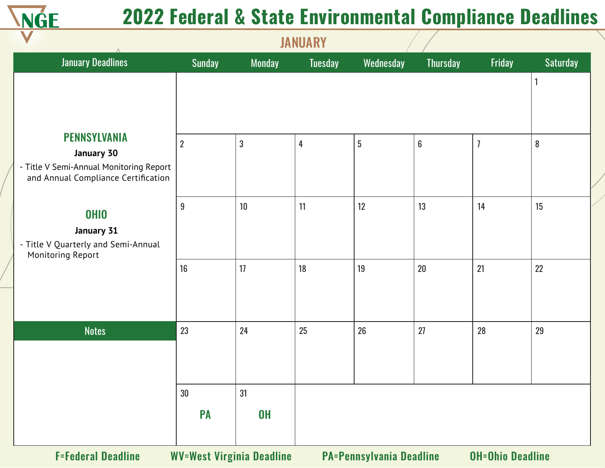

| <b>January Deadlines</b>                                                       | <b>Sunday</b>    | <b>Monday</b>                    | <b>Tuesday</b> | Wednesday                       | Thursday         | Friday                  | <b>Saturday</b> |
|--------------------------------------------------------------------------------|------------------|----------------------------------|----------------|---------------------------------|------------------|-------------------------|-----------------|
|                                                                                |                  |                                  |                |                                 |                  |                         |                 |
|                                                                                |                  |                                  |                |                                 |                  |                         |                 |
| <b>PENNSYLVANIA</b>                                                            | $\overline{2}$   | $\overline{3}$                   | $\overline{4}$ | $5\phantom{.0}$                 | $\boldsymbol{6}$ | $\overline{1}$          | $\bf 8$         |
| January 30                                                                     |                  |                                  |                |                                 |                  |                         |                 |
| - Title V Semi-Annual Monitoring Report<br>and Annual Compliance Certification |                  |                                  |                |                                 |                  |                         |                 |
| <b>OHIO</b>                                                                    | $\boldsymbol{9}$ | 10                               | 11             | 12                              | 13               | 14                      | 15              |
| January 31                                                                     |                  |                                  |                |                                 |                  |                         |                 |
| - Title V Quarterly and Semi-Annual<br>Monitoring Report                       |                  |                                  |                |                                 |                  |                         |                 |
|                                                                                | 16               | 17                               | 18             | 19                              | $20\,$           | 21                      | 22              |
|                                                                                |                  |                                  |                |                                 |                  |                         |                 |
| <b>Notes</b>                                                                   | 23               | 24                               | 25             | 26                              | 27               | 28                      | 29              |
|                                                                                |                  |                                  |                |                                 |                  |                         |                 |
|                                                                                |                  |                                  |                |                                 |                  |                         |                 |
|                                                                                | 30               | 31                               |                |                                 |                  |                         |                 |
|                                                                                | PA               | <b>OH</b>                        |                |                                 |                  |                         |                 |
| <b>F=Federal Deadline</b>                                                      |                  | <b>WV=West Virginia Deadline</b> |                | <b>PA=Pennsylvania Deadline</b> |                  | <b>OH=Ohio Deadline</b> |                 |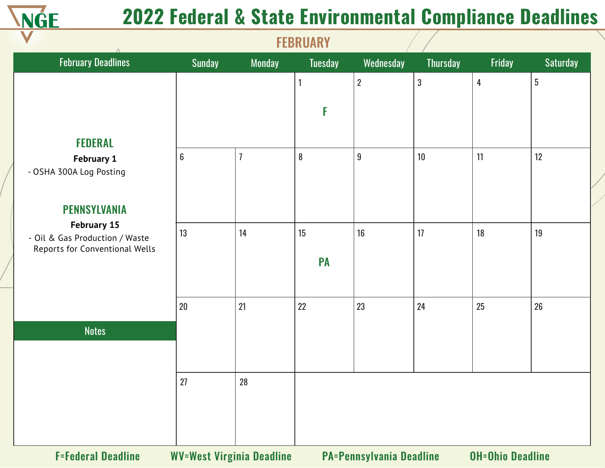

|                                                                  |                  |                                  | <b>ILDIVANI</b> |                                 |                 |                         |                 |
|------------------------------------------------------------------|------------------|----------------------------------|-----------------|---------------------------------|-----------------|-------------------------|-----------------|
| <b>February Deadlines</b>                                        | <b>Sunday</b>    | <b>Monday</b>                    | <b>Tuesday</b>  | Wednesday                       | <b>Thursday</b> | Friday                  | <b>Saturday</b> |
|                                                                  |                  |                                  | 1               | $\overline{2}$                  | $\mathbf{3}$    | 4                       | $\overline{5}$  |
|                                                                  |                  |                                  | F               |                                 |                 |                         |                 |
|                                                                  |                  |                                  |                 |                                 |                 |                         |                 |
| <b>FEDERAL</b>                                                   |                  |                                  |                 |                                 |                 |                         |                 |
| <b>February 1</b><br>- OSHA 300A Log Posting                     | $\boldsymbol{6}$ |                                  | $\bf 8$         | 9                               | 10              | 11                      | 12              |
|                                                                  |                  |                                  |                 |                                 |                 |                         |                 |
| <b>PENNSYLVANIA</b>                                              |                  |                                  |                 |                                 |                 |                         |                 |
| <b>February 15</b>                                               | 13               | 14                               | 15              | 16                              | 17              | 18                      | 19              |
| - Oil & Gas Production / Waste<br>Reports for Conventional Wells |                  |                                  |                 |                                 |                 |                         |                 |
|                                                                  |                  |                                  | <b>PA</b>       |                                 |                 |                         |                 |
|                                                                  |                  |                                  |                 |                                 |                 |                         |                 |
|                                                                  | 20               | 21                               | 22              | 23                              | 24              | 25                      | 26              |
| <b>Notes</b>                                                     |                  |                                  |                 |                                 |                 |                         |                 |
|                                                                  |                  |                                  |                 |                                 |                 |                         |                 |
|                                                                  | 27               | 28                               |                 |                                 |                 |                         |                 |
|                                                                  |                  |                                  |                 |                                 |                 |                         |                 |
|                                                                  |                  |                                  |                 |                                 |                 |                         |                 |
|                                                                  |                  |                                  |                 |                                 |                 |                         |                 |
| <b>F=Federal Deadline</b>                                        |                  | <b>WV=West Virginia Deadline</b> |                 | <b>PA=Pennsylvania Deadline</b> |                 | <b>OH=Ohio Deadline</b> |                 |

**FERRUARY**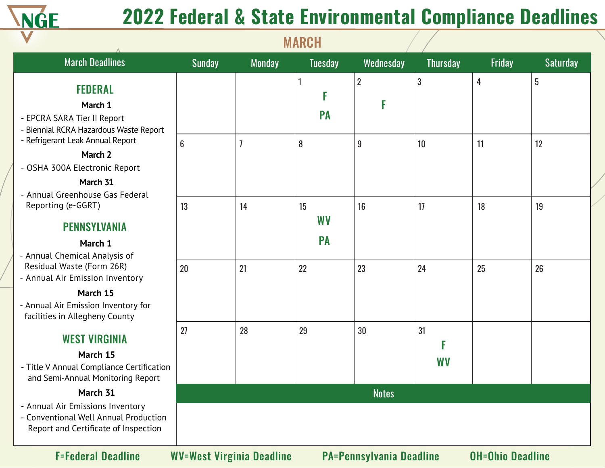

|                                                                                                                                                   |                |               | <b>MARCH</b>                 |                     |                 |        |                 |
|---------------------------------------------------------------------------------------------------------------------------------------------------|----------------|---------------|------------------------------|---------------------|-----------------|--------|-----------------|
| <b>March Deadlines</b>                                                                                                                            | <b>Sunday</b>  | <b>Monday</b> | <b>Tuesday</b>               | Wednesday           | <b>Thursday</b> | Friday | <b>Saturday</b> |
| <b>FEDERAL</b><br>March 1<br>- EPCRA SARA Tier II Report<br>Biennial RCRA Hazardous Waste Report                                                  |                |               | <b>PA</b>                    | $\overline{2}$<br>F | 3               | 4      | 5               |
| - Refrigerant Leak Annual Report<br>March 2<br>- OSHA 300A Electronic Report<br>March 31<br>- Annual Greenhouse Gas Federal                       | $6\phantom{a}$ |               | 8                            | $9\,$               | 10              | 11     | 12              |
| Reporting (e-GGRT)<br><b>PENNSYLVANIA</b><br>March 1<br>- Annual Chemical Analysis of                                                             | 13             | 14            | 15<br><b>WV</b><br><b>PA</b> | 16                  | 17              | 18     | 19              |
| Residual Waste (Form 26R)<br>- Annual Air Emission Inventory<br>March 15<br>- Annual Air Emission Inventory for<br>facilities in Allegheny County | 20             | 21            | 22                           | 23                  | 24              | 25     | 26              |
| <b>WEST VIRGINIA</b><br>March 15<br>- Title V Annual Compliance Certification<br>and Semi-Annual Monitoring Report                                | 27             | 28            | 29                           | 30                  | 31<br><b>WV</b> |        |                 |
| March 31<br>- Annual Air Emissions Inventory<br>Conventional Well Annual Production<br>Report and Certificate of Inspection                       |                |               |                              | <b>Notes</b>        |                 |        |                 |

F=Federal Deadline WV=West Virginia Deadline PA=Pennsylvania Deadline OH=Ohio Deadline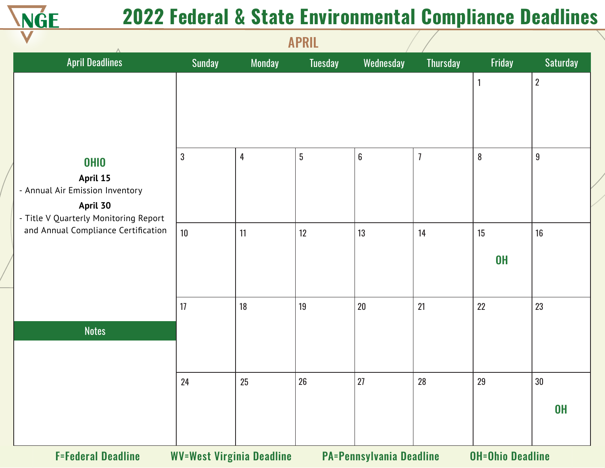

|                                                                                                                 |               |                                  | <b>APRIL</b>    |                                 |                 |                         |                     |
|-----------------------------------------------------------------------------------------------------------------|---------------|----------------------------------|-----------------|---------------------------------|-----------------|-------------------------|---------------------|
| <b>April Deadlines</b>                                                                                          | <b>Sunday</b> | <b>Monday</b>                    | <b>Tuesday</b>  | Wednesday                       | <b>Thursday</b> | Friday                  | <b>Saturday</b>     |
|                                                                                                                 |               |                                  |                 |                                 |                 | $\mathbf{1}$            | $\overline{2}$      |
| <b>OHIO</b><br>April 15<br>- Annual Air Emission Inventory<br>April 30<br>- Title V Quarterly Monitoring Report | $\mathbf{3}$  | 4                                | $5\phantom{.0}$ | $\boldsymbol{6}$                | $\overline{1}$  | $8\phantom{.}$          | $9\,$               |
| and Annual Compliance Certification                                                                             | 10            | 11                               | 12              | 13                              | 14              | 15<br><b>OH</b>         | 16                  |
|                                                                                                                 | 17            | 18                               | 19              | $20\,$                          | 21              | 22                      | 23                  |
| <b>Notes</b>                                                                                                    |               |                                  |                 |                                 |                 |                         |                     |
|                                                                                                                 | 24            | $25\,$                           | $26\,$          | 27                              | $28\,$          | 29                      | $30\,$<br><b>OH</b> |
| <b>F=Federal Deadline</b>                                                                                       |               | <b>WV=West Virginia Deadline</b> |                 | <b>PA=Pennsylvania Deadline</b> |                 | <b>OH=Ohio Deadline</b> |                     |

APRIL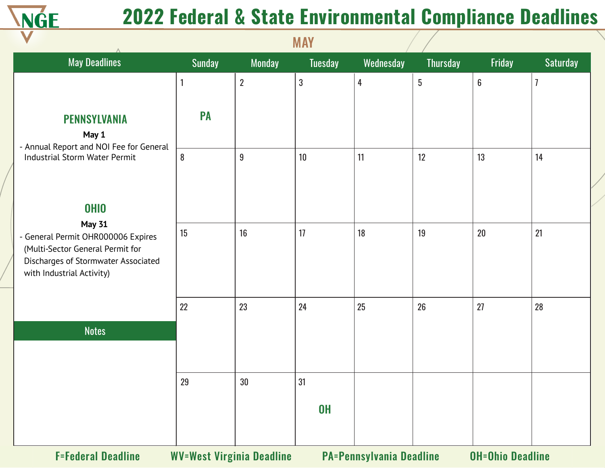

|                                                                                                                                                             |               |                  | <b>MAY</b>     |                |                 |                  |                |
|-------------------------------------------------------------------------------------------------------------------------------------------------------------|---------------|------------------|----------------|----------------|-----------------|------------------|----------------|
| <b>May Deadlines</b>                                                                                                                                        | <b>Sunday</b> | <b>Monday</b>    | <b>Tuesday</b> | Wednesday      | <b>Thursday</b> | Friday           | Saturday       |
|                                                                                                                                                             | $\mathbf{1}$  | $\overline{2}$   | $\mathfrak{3}$ | $\overline{4}$ | $5\,$           | $\boldsymbol{6}$ | $\overline{1}$ |
| <b>PENNSYLVANIA</b><br>May 1<br>- Annual Report and NOI Fee for General                                                                                     | PA            |                  |                |                |                 |                  |                |
| Industrial Storm Water Permit                                                                                                                               | $\bf 8$       | $\boldsymbol{9}$ | 10             | 11             | 12              | 13               | 14             |
| <b>OHIO</b>                                                                                                                                                 |               |                  |                |                |                 |                  |                |
| <b>May 31</b><br>- General Permit OHR000006 Expires<br>(Multi-Sector General Permit for<br>Discharges of Stormwater Associated<br>with Industrial Activity) | 15            | 16               | 17             | 18             | 19              | 20               | 21             |
|                                                                                                                                                             | 22            | 23               | 24             | 25             | 26              | 27               | 28             |
| <b>Notes</b>                                                                                                                                                |               |                  |                |                |                 |                  |                |
|                                                                                                                                                             | 29            | 30               | 31             |                |                 |                  |                |
|                                                                                                                                                             |               |                  | <b>OH</b>      |                |                 |                  |                |
|                                                                                                                                                             | <b>BAFBA</b>  |                  |                |                |                 |                  |                |

**MAY** 

F=Federal Deadline WV=West Virginia Deadline PA=Pennsylvania Deadline OH=Ohio Deadline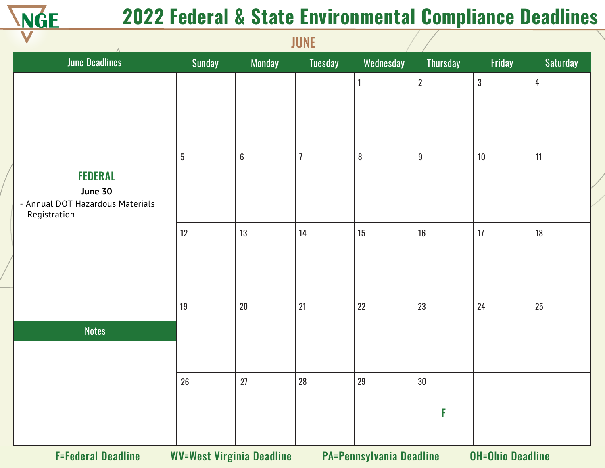

|                                                                               |                                  |                  | JUNL           |                                 |                  |                         |                |
|-------------------------------------------------------------------------------|----------------------------------|------------------|----------------|---------------------------------|------------------|-------------------------|----------------|
| <b>June Deadlines</b>                                                         | Sunday                           | Monday           | Tuesday        | Wednesday                       | <b>Thursday</b>  | Friday                  | Saturday       |
|                                                                               |                                  |                  |                | 1                               | $\overline{2}$   | $\sqrt{3}$              | $\overline{4}$ |
| <b>FEDERAL</b><br>June 30<br>- Annual DOT Hazardous Materials<br>Registration | $5\phantom{.0}$                  | $\boldsymbol{6}$ | $\overline{1}$ | $\boldsymbol{8}$                | $\boldsymbol{9}$ | $10$                    | 11             |
|                                                                               | 12                               | 13               | 14             | 15                              | 16               | 17                      | 18             |
| <b>Notes</b>                                                                  | 19                               | 20               | 21             | 22                              | 23               | 24                      | 25             |
|                                                                               |                                  |                  |                |                                 |                  |                         |                |
|                                                                               | 26                               | 27               | 28             | 29                              | 30               |                         |                |
|                                                                               |                                  |                  |                |                                 | F                |                         |                |
| <b>F=Federal Deadline</b>                                                     | <b>WV=West Virginia Deadline</b> |                  |                | <b>PA=Pennsylvania Deadline</b> |                  | <b>OH=Ohio Deadline</b> |                |

JUNE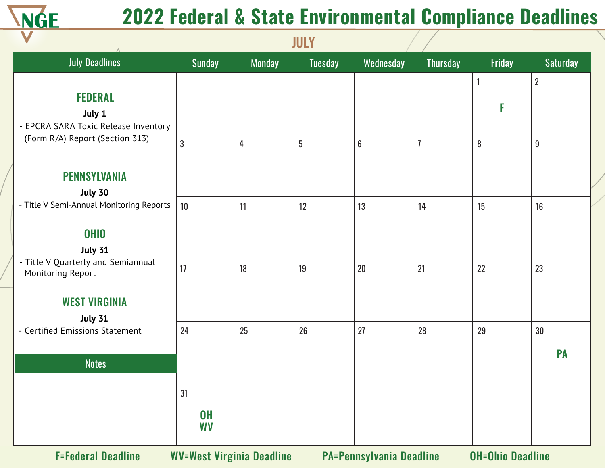

|                                                         |                        |                                  | JULI            |                                 |                 |                         |                 |
|---------------------------------------------------------|------------------------|----------------------------------|-----------------|---------------------------------|-----------------|-------------------------|-----------------|
| <b>July Deadlines</b>                                   | <b>Sunday</b>          | <b>Monday</b>                    | <b>Tuesday</b>  | Wednesday                       | <b>Thursday</b> | Friday                  | <b>Saturday</b> |
|                                                         |                        |                                  |                 |                                 |                 |                         | $\overline{2}$  |
| <b>FEDERAL</b>                                          |                        |                                  |                 |                                 |                 | F                       |                 |
| July 1<br>- EPCRA SARA Toxic Release Inventory          |                        |                                  |                 |                                 |                 |                         |                 |
| (Form R/A) Report (Section 313)                         | $\mathbf{3}$           | 4                                | $5\phantom{.0}$ | $6\phantom{a}$                  | $\overline{1}$  | 8                       | $9\,$           |
|                                                         |                        |                                  |                 |                                 |                 |                         |                 |
| <b>PENNSYLVANIA</b>                                     |                        |                                  |                 |                                 |                 |                         |                 |
| July 30                                                 |                        |                                  |                 |                                 |                 |                         |                 |
| - Title V Semi-Annual Monitoring Reports                | 10                     | 11                               | 12              | 13                              | 14              | 15                      | 16              |
| <b>OHIO</b>                                             |                        |                                  |                 |                                 |                 |                         |                 |
| <b>July 31</b>                                          |                        |                                  |                 |                                 |                 |                         |                 |
| - Title V Quarterly and Semiannual<br>Monitoring Report | 17                     | 18                               | 19              | 20                              | 21              | 22                      | 23              |
|                                                         |                        |                                  |                 |                                 |                 |                         |                 |
| <b>WEST VIRGINIA</b>                                    |                        |                                  |                 |                                 |                 |                         |                 |
| <b>July 31</b><br>- Certified Emissions Statement       | 24                     | 25                               | 26              | 27                              | 28              | 29                      | 30              |
|                                                         |                        |                                  |                 |                                 |                 |                         |                 |
| <b>Notes</b>                                            |                        |                                  |                 |                                 |                 |                         | <b>PA</b>       |
|                                                         |                        |                                  |                 |                                 |                 |                         |                 |
|                                                         | 31                     |                                  |                 |                                 |                 |                         |                 |
|                                                         | <b>OH</b><br><b>WV</b> |                                  |                 |                                 |                 |                         |                 |
| <b>F=Federal Deadline</b>                               |                        | <b>WV=West Virginia Deadline</b> |                 | <b>PA=Pennsylvania Deadline</b> |                 | <b>OH=Ohio Deadline</b> |                 |

JULY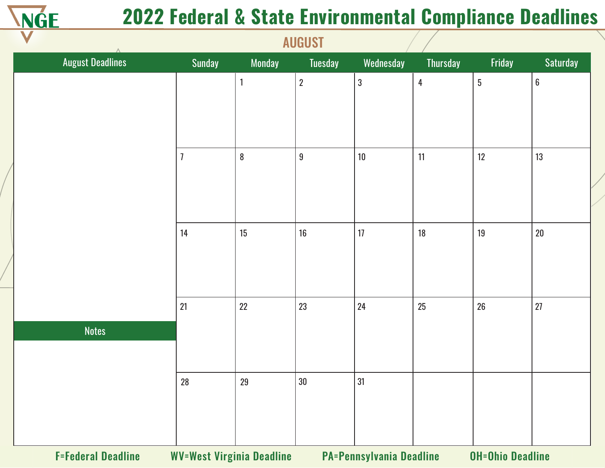

|                           |                                  |                  | <b>NONOOI</b>    |                                 |                 |                         |                  |
|---------------------------|----------------------------------|------------------|------------------|---------------------------------|-----------------|-------------------------|------------------|
| <b>August Deadlines</b>   | Sunday                           | <b>Monday</b>    | <b>Tuesday</b>   | Wednesday                       | <b>Thursday</b> | Friday                  | Saturday         |
|                           |                                  | 1                | $\overline{2}$   | $\mathfrak{z}$                  | $\overline{4}$  | $5\phantom{.0}$         | $\boldsymbol{6}$ |
|                           |                                  |                  |                  |                                 |                 |                         |                  |
|                           |                                  |                  |                  |                                 |                 |                         |                  |
|                           |                                  |                  |                  |                                 |                 |                         |                  |
|                           | $\overline{1}$                   | $\boldsymbol{8}$ | $\boldsymbol{9}$ | $10$                            | 11              | 12                      | 13               |
|                           |                                  |                  |                  |                                 |                 |                         |                  |
|                           |                                  |                  |                  |                                 |                 |                         |                  |
|                           | 14                               | 15               | 16               | 17                              | 18              | 19                      | $20\,$           |
|                           |                                  |                  |                  |                                 |                 |                         |                  |
|                           |                                  |                  |                  |                                 |                 |                         |                  |
|                           |                                  | 22               |                  |                                 |                 |                         | 27               |
|                           | 21                               |                  | 23               | 24                              | 25              | 26                      |                  |
| <b>Notes</b>              |                                  |                  |                  |                                 |                 |                         |                  |
|                           |                                  |                  |                  |                                 |                 |                         |                  |
|                           | 28                               | 29               | $30\,$           | 31                              |                 |                         |                  |
|                           |                                  |                  |                  |                                 |                 |                         |                  |
|                           |                                  |                  |                  |                                 |                 |                         |                  |
|                           |                                  |                  |                  |                                 |                 |                         |                  |
| <b>F=Federal Deadline</b> | <b>WV=West Virginia Deadline</b> |                  |                  | <b>PA=Pennsylvania Deadline</b> |                 | <b>OH=Ohio Deadline</b> |                  |

**AUGUST**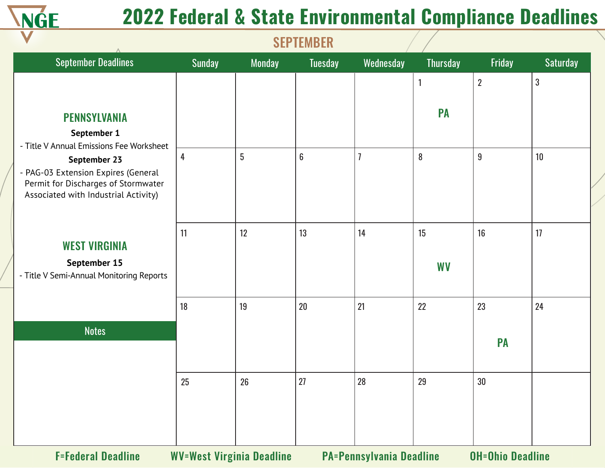

| <b>September Deadlines</b>                                                 | <b>Sunday</b> | <b>Monday</b>                    | <b>Tuesday</b> | Wednesday                       | <b>Thursday</b> | Friday                  | <b>Saturday</b> |
|----------------------------------------------------------------------------|---------------|----------------------------------|----------------|---------------------------------|-----------------|-------------------------|-----------------|
|                                                                            |               |                                  |                |                                 | $\mathbf{1}$    | $\overline{2}$          | $\mathbf{3}$    |
|                                                                            |               |                                  |                |                                 |                 |                         |                 |
| <b>PENNSYLVANIA</b>                                                        |               |                                  |                |                                 | <b>PA</b>       |                         |                 |
| September 1                                                                |               |                                  |                |                                 |                 |                         |                 |
| - Title V Annual Emissions Fee Worksheet<br>September 23                   | 4             | 5                                | $6\phantom{a}$ | 7                               | 8               | $9\,$                   | 10              |
| - PAG-03 Extension Expires (General<br>Permit for Discharges of Stormwater |               |                                  |                |                                 |                 |                         |                 |
| Associated with Industrial Activity)                                       |               |                                  |                |                                 |                 |                         |                 |
|                                                                            |               |                                  |                |                                 |                 |                         |                 |
| <b>WEST VIRGINIA</b>                                                       | 11            | 12                               | 13             | 14                              | 15              | 16                      | 17              |
| September 15                                                               |               |                                  |                |                                 | <b>WV</b>       |                         |                 |
| - Title V Semi-Annual Monitoring Reports                                   |               |                                  |                |                                 |                 |                         |                 |
|                                                                            | 18            | 19                               | 20             | 21                              | 22              | 23                      | 24              |
| <b>Notes</b>                                                               |               |                                  |                |                                 |                 |                         |                 |
|                                                                            |               |                                  |                |                                 |                 | <b>PA</b>               |                 |
|                                                                            | 25            | 26                               | 27             | 28                              | 29              | 30                      |                 |
|                                                                            |               |                                  |                |                                 |                 |                         |                 |
|                                                                            |               |                                  |                |                                 |                 |                         |                 |
| <b>F=Federal Deadline</b>                                                  |               | <b>WV=West Virginia Deadline</b> |                | <b>PA=Pennsylvania Deadline</b> |                 | <b>OH=Ohio Deadline</b> |                 |

**CEDTEMBED**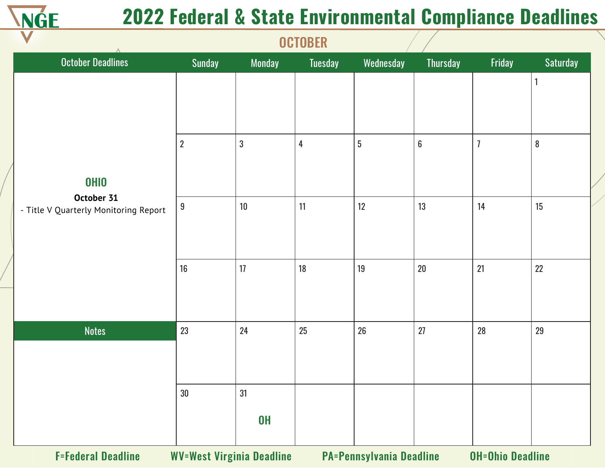

|                                                                    |                  |                 | <b>UUIUDLIN</b> |            |                  |                |                           |
|--------------------------------------------------------------------|------------------|-----------------|-----------------|------------|------------------|----------------|---------------------------|
| <b>October Deadlines</b>                                           | Sunday           | Monday          | Tuesday         | Wednesday  | Thursday         | Friday         | Saturday                  |
|                                                                    | $\boldsymbol{2}$ | $\mathfrak{B}$  | $\overline{4}$  | $\sqrt{5}$ | $\boldsymbol{6}$ | $\overline{1}$ | $\mathbf{1}$<br>${\bf 8}$ |
| <b>OHIO</b><br>October 31<br>- Title V Quarterly Monitoring Report | $\boldsymbol{9}$ | $10\,$          | 11              | 12         | 13               | 14             | 15                        |
|                                                                    | 16               | 17              | 18              | 19         | $20\,$           | 21             | 22                        |
| <b>Notes</b>                                                       | 23               | 24              | 25              | 26         | 27               | 28             | 29                        |
|                                                                    | $30\,$           | 31<br><b>OH</b> |                 |            |                  |                |                           |

**OCTOBER** 

F=Federal Deadline WV=West Virginia Deadline PA=Pennsylvania Deadline OH=Ohio Deadline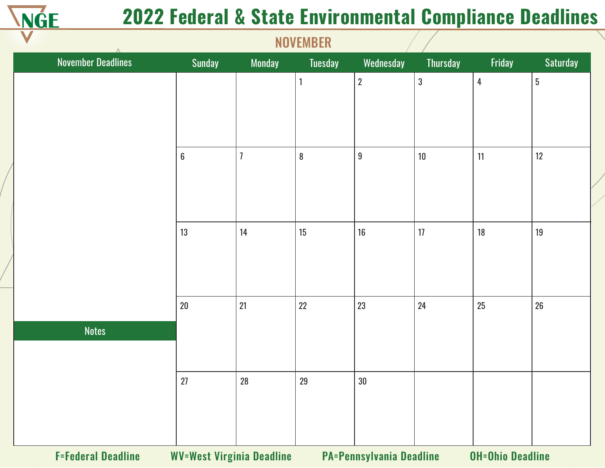

|                           | <b>IVO VEIVIDEIV</b>             |                |              |                                 |                 |                         |          |  |  |
|---------------------------|----------------------------------|----------------|--------------|---------------------------------|-----------------|-------------------------|----------|--|--|
| <b>November Deadlines</b> | Sunday                           | <b>Monday</b>  | Tuesday      | Wednesday                       | <b>Thursday</b> | Friday                  | Saturday |  |  |
|                           |                                  |                | $\mathbf{1}$ | $\overline{2}$                  | $\mathbf 3$     | $\overline{4}$          | $5\,$    |  |  |
|                           |                                  |                |              |                                 |                 |                         |          |  |  |
|                           |                                  |                |              |                                 |                 |                         |          |  |  |
|                           |                                  |                |              |                                 |                 |                         |          |  |  |
|                           | $\boldsymbol{6}$                 | $\overline{1}$ | ${\bf 8}$    | $9\,$                           | 10              | 11                      | 12       |  |  |
|                           |                                  |                |              |                                 |                 |                         |          |  |  |
|                           |                                  |                |              |                                 |                 |                         |          |  |  |
|                           |                                  |                |              |                                 |                 |                         |          |  |  |
|                           | 13                               | 14             | 15           | 16                              | 17              | 18                      | 19       |  |  |
|                           |                                  |                |              |                                 |                 |                         |          |  |  |
|                           |                                  |                |              |                                 |                 |                         |          |  |  |
|                           | $20\,$                           | 21             | 22           | 23                              | 24              | 25                      | 26       |  |  |
| <b>Notes</b>              |                                  |                |              |                                 |                 |                         |          |  |  |
|                           |                                  |                |              |                                 |                 |                         |          |  |  |
|                           |                                  |                |              |                                 |                 |                         |          |  |  |
|                           | 27                               | 28             | 29           | $30\,$                          |                 |                         |          |  |  |
|                           |                                  |                |              |                                 |                 |                         |          |  |  |
|                           |                                  |                |              |                                 |                 |                         |          |  |  |
|                           |                                  |                |              |                                 |                 |                         |          |  |  |
| <b>F=Federal Deadline</b> | <b>WV=West Virginia Deadline</b> |                |              | <b>PA=Pennsylvania Deadline</b> |                 | <b>OH=Ohio Deadline</b> |          |  |  |

**NOVEMBED**